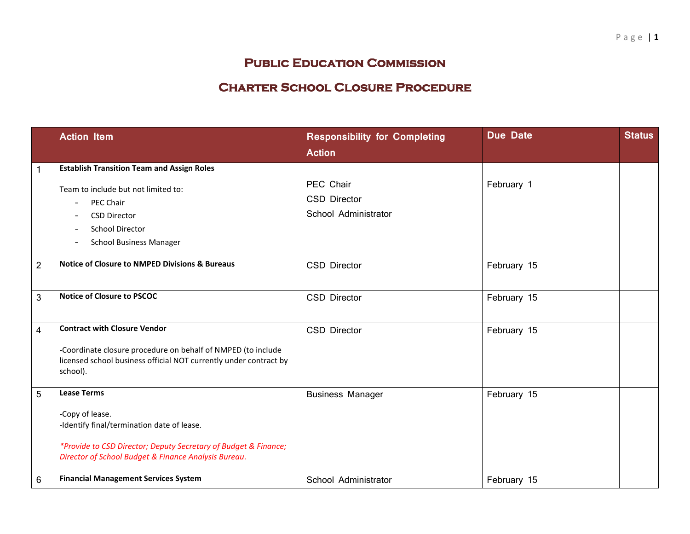## **Public Education Commission**

## **Charter School Closure Procedure**

|                | <b>Action Item</b>                                                                                                                                                                                                                               | <b>Responsibility for Completing</b>                     | <b>Due Date</b> | <b>Status</b> |
|----------------|--------------------------------------------------------------------------------------------------------------------------------------------------------------------------------------------------------------------------------------------------|----------------------------------------------------------|-----------------|---------------|
|                |                                                                                                                                                                                                                                                  | <b>Action</b>                                            |                 |               |
| 1              | <b>Establish Transition Team and Assign Roles</b><br>Team to include but not limited to:<br>PEC Chair<br>$\overline{\phantom{a}}$<br><b>CSD Director</b><br>$\overline{\phantom{a}}$<br><b>School Director</b><br><b>School Business Manager</b> | PEC Chair<br><b>CSD Director</b><br>School Administrator | February 1      |               |
| $\overline{2}$ | <b>Notice of Closure to NMPED Divisions &amp; Bureaus</b>                                                                                                                                                                                        | <b>CSD Director</b>                                      | February 15     |               |
| 3              | <b>Notice of Closure to PSCOC</b>                                                                                                                                                                                                                | CSD Director                                             | February 15     |               |
| 4              | <b>Contract with Closure Vendor</b><br>-Coordinate closure procedure on behalf of NMPED (to include<br>licensed school business official NOT currently under contract by<br>school).                                                             | CSD Director                                             | February 15     |               |
| 5              | <b>Lease Terms</b><br>-Copy of lease.<br>-Identify final/termination date of lease.<br>*Provide to CSD Director; Deputy Secretary of Budget & Finance;<br>Director of School Budget & Finance Analysis Bureau.                                   | <b>Business Manager</b>                                  | February 15     |               |
| 6              | <b>Financial Management Services System</b>                                                                                                                                                                                                      | School Administrator                                     | February 15     |               |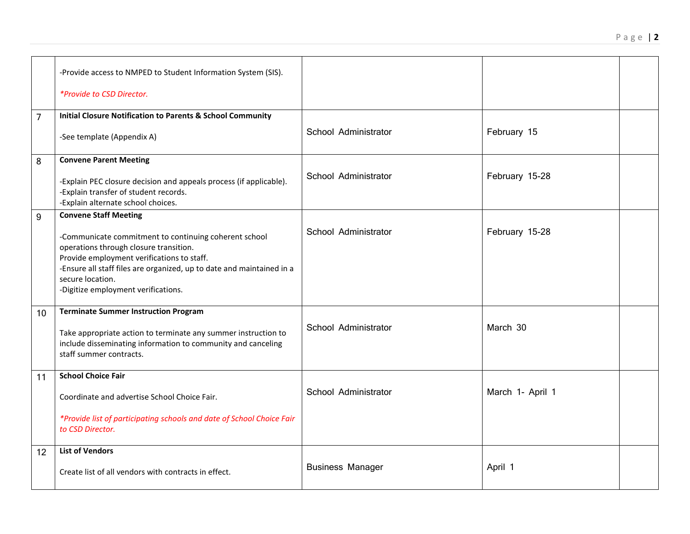|                | -Provide access to NMPED to Student Information System (SIS).<br>*Provide to CSD Director.                                                                                                                                                                                                                        |                         |                  |  |
|----------------|-------------------------------------------------------------------------------------------------------------------------------------------------------------------------------------------------------------------------------------------------------------------------------------------------------------------|-------------------------|------------------|--|
| $\overline{7}$ | <b>Initial Closure Notification to Parents &amp; School Community</b><br>-See template (Appendix A)                                                                                                                                                                                                               | School Administrator    | February 15      |  |
| 8              | <b>Convene Parent Meeting</b><br>-Explain PEC closure decision and appeals process (if applicable).<br>-Explain transfer of student records.<br>-Explain alternate school choices.                                                                                                                                | School Administrator    | February 15-28   |  |
| 9              | <b>Convene Staff Meeting</b><br>-Communicate commitment to continuing coherent school<br>operations through closure transition.<br>Provide employment verifications to staff.<br>-Ensure all staff files are organized, up to date and maintained in a<br>secure location.<br>-Digitize employment verifications. | School Administrator    | February 15-28   |  |
| 10             | <b>Terminate Summer Instruction Program</b><br>Take appropriate action to terminate any summer instruction to<br>include disseminating information to community and canceling<br>staff summer contracts.                                                                                                          | School Administrator    | March 30         |  |
| 11             | <b>School Choice Fair</b><br>Coordinate and advertise School Choice Fair.<br>*Provide list of participating schools and date of School Choice Fair<br>to CSD Director.                                                                                                                                            | School Administrator    | March 1- April 1 |  |
| 12             | <b>List of Vendors</b><br>Create list of all vendors with contracts in effect.                                                                                                                                                                                                                                    | <b>Business Manager</b> | April 1          |  |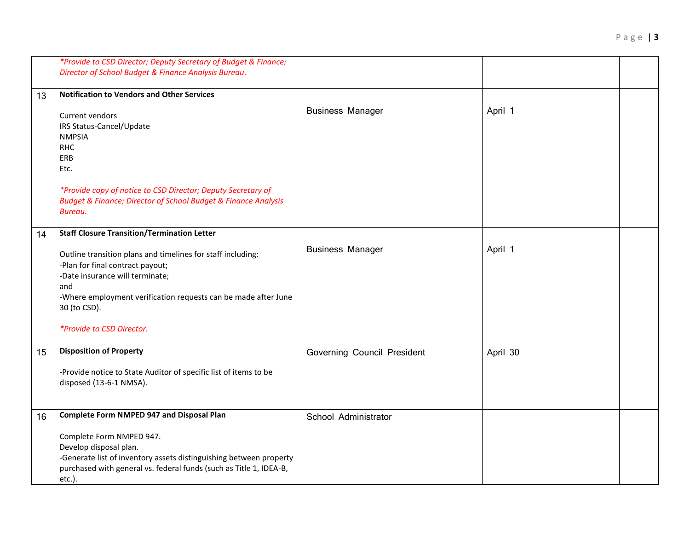|                | *Provide to CSD Director; Deputy Secretary of Budget & Finance;<br>Director of School Budget & Finance Analysis Bureau. |                             |          |  |
|----------------|-------------------------------------------------------------------------------------------------------------------------|-----------------------------|----------|--|
|                |                                                                                                                         |                             |          |  |
| 13             | <b>Notification to Vendors and Other Services</b>                                                                       |                             |          |  |
|                |                                                                                                                         | <b>Business Manager</b>     | April 1  |  |
|                | Current vendors                                                                                                         |                             |          |  |
|                | IRS Status-Cancel/Update                                                                                                |                             |          |  |
|                | <b>NMPSIA</b>                                                                                                           |                             |          |  |
|                | <b>RHC</b>                                                                                                              |                             |          |  |
|                | ERB                                                                                                                     |                             |          |  |
|                | Etc.                                                                                                                    |                             |          |  |
|                |                                                                                                                         |                             |          |  |
|                | *Provide copy of notice to CSD Director; Deputy Secretary of                                                            |                             |          |  |
|                | <b>Budget &amp; Finance; Director of School Budget &amp; Finance Analysis</b>                                           |                             |          |  |
|                | Bureau.                                                                                                                 |                             |          |  |
| 14             | <b>Staff Closure Transition/Termination Letter</b>                                                                      |                             |          |  |
|                |                                                                                                                         |                             |          |  |
|                | Outline transition plans and timelines for staff including:                                                             | <b>Business Manager</b>     | April 1  |  |
|                | -Plan for final contract payout;                                                                                        |                             |          |  |
|                | -Date insurance will terminate;                                                                                         |                             |          |  |
|                | and                                                                                                                     |                             |          |  |
|                | -Where employment verification requests can be made after June                                                          |                             |          |  |
|                | 30 (to CSD).                                                                                                            |                             |          |  |
|                |                                                                                                                         |                             |          |  |
|                | *Provide to CSD Director.                                                                                               |                             |          |  |
|                |                                                                                                                         |                             |          |  |
| 15             | <b>Disposition of Property</b>                                                                                          | Governing Council President | April 30 |  |
|                |                                                                                                                         |                             |          |  |
|                | -Provide notice to State Auditor of specific list of items to be                                                        |                             |          |  |
|                | disposed (13-6-1 NMSA).                                                                                                 |                             |          |  |
|                |                                                                                                                         |                             |          |  |
|                | <b>Complete Form NMPED 947 and Disposal Plan</b>                                                                        |                             |          |  |
| 1 <sub>6</sub> |                                                                                                                         | School Administrator        |          |  |

|    | disposed (13-6-1 NMSA).                                                                                                                                                                                  |                      |  |
|----|----------------------------------------------------------------------------------------------------------------------------------------------------------------------------------------------------------|----------------------|--|
| 16 | <b>Complete Form NMPED 947 and Disposal Plan</b>                                                                                                                                                         | School Administrator |  |
|    | Complete Form NMPED 947.<br>Develop disposal plan.<br>-Generate list of inventory assets distinguishing between property<br>purchased with general vs. federal funds (such as Title 1, IDEA-B,<br>etc.). |                      |  |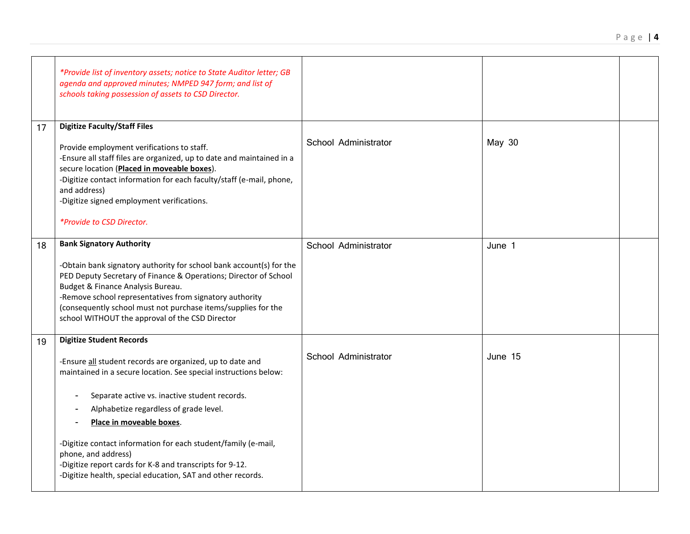|    | *Provide list of inventory assets; notice to State Auditor letter; GB<br>agenda and approved minutes; NMPED 947 form; and list of<br>schools taking possession of assets to CSD Director.                                                                                                                                                                                                                                                                                                                                               |                      |         |  |
|----|-----------------------------------------------------------------------------------------------------------------------------------------------------------------------------------------------------------------------------------------------------------------------------------------------------------------------------------------------------------------------------------------------------------------------------------------------------------------------------------------------------------------------------------------|----------------------|---------|--|
| 17 | <b>Digitize Faculty/Staff Files</b><br>Provide employment verifications to staff.<br>-Ensure all staff files are organized, up to date and maintained in a<br>secure location (Placed in moveable boxes).<br>-Digitize contact information for each faculty/staff (e-mail, phone,<br>and address)<br>-Digitize signed employment verifications.<br><i>*Provide to CSD Director.</i>                                                                                                                                                     | School Administrator | May 30  |  |
| 18 | <b>Bank Signatory Authority</b><br>-Obtain bank signatory authority for school bank account(s) for the<br>PED Deputy Secretary of Finance & Operations; Director of School<br>Budget & Finance Analysis Bureau.<br>-Remove school representatives from signatory authority<br>(consequently school must not purchase items/supplies for the<br>school WITHOUT the approval of the CSD Director                                                                                                                                          | School Administrator | June 1  |  |
| 19 | <b>Digitize Student Records</b><br>-Ensure all student records are organized, up to date and<br>maintained in a secure location. See special instructions below:<br>Separate active vs. inactive student records.<br>$\overline{\phantom{a}}$<br>Alphabetize regardless of grade level.<br>Place in moveable boxes.<br>-Digitize contact information for each student/family (e-mail,<br>phone, and address)<br>-Digitize report cards for K-8 and transcripts for 9-12.<br>-Digitize health, special education, SAT and other records. | School Administrator | June 15 |  |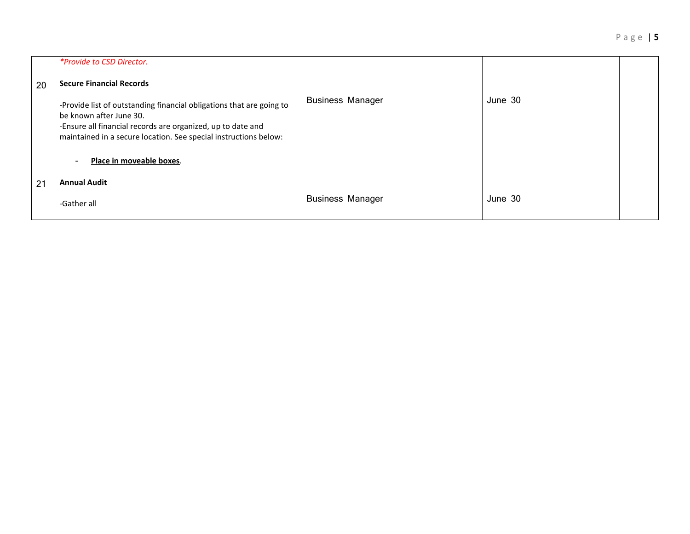|    | <i>*Provide to CSD Director.</i>                                                                                                                                                                                                                                                 |                         |         |  |
|----|----------------------------------------------------------------------------------------------------------------------------------------------------------------------------------------------------------------------------------------------------------------------------------|-------------------------|---------|--|
| 20 | <b>Secure Financial Records</b>                                                                                                                                                                                                                                                  |                         |         |  |
|    | -Provide list of outstanding financial obligations that are going to<br>be known after June 30.<br>-Ensure all financial records are organized, up to date and<br>maintained in a secure location. See special instructions below:<br>Place in moveable boxes.<br>$\blacksquare$ | <b>Business Manager</b> | June 30 |  |
| 21 | <b>Annual Audit</b>                                                                                                                                                                                                                                                              |                         |         |  |
|    | -Gather all                                                                                                                                                                                                                                                                      | <b>Business Manager</b> | June 30 |  |